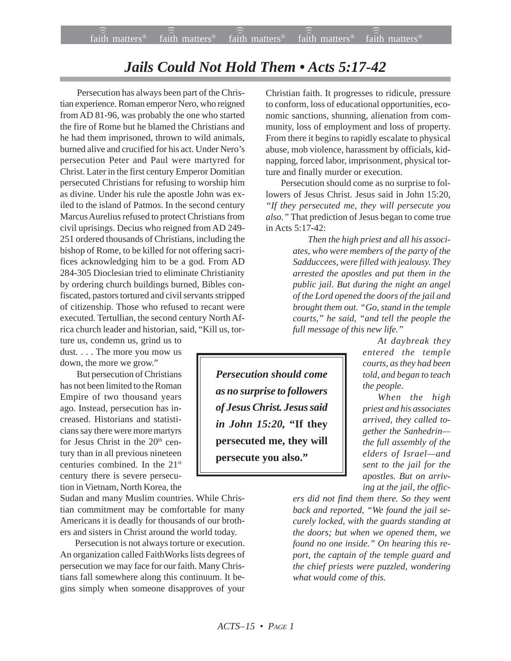## *Jails Could Not Hold Them • Acts 5:17-42*

 Persecution has always been part of the Christian experience. Roman emperor Nero, who reigned from AD 81-96, was probably the one who started the fire of Rome but he blamed the Christians and he had them imprisoned, thrown to wild animals, burned alive and crucified for his act. Under Nero's persecution Peter and Paul were martyred for Christ. Later in the first century Emperor Domitian persecuted Christians for refusing to worship him as divine. Under his rule the apostle John was exiled to the island of Patmos. In the second century Marcus Aurelius refused to protect Christians from civil uprisings. Decius who reigned from AD 249- 251 ordered thousands of Christians, including the bishop of Rome, to be killed for not offering sacrifices acknowledging him to be a god. From AD 284-305 Dioclesian tried to eliminate Christianity by ordering church buildings burned, Bibles confiscated, pastors tortured and civil servants stripped of citizenship. Those who refused to recant were executed. Tertullian, the second century North Africa church leader and historian, said, "Kill us, tor-

ture us, condemn us, grind us to dust. . . . The more you mow us down, the more we grow."

 But persecution of Christians has not been limited to the Roman Empire of two thousand years ago. Instead, persecution has increased. Historians and statisticians say there were more martyrs for Jesus Christ in the 20<sup>th</sup> century than in all previous nineteen centuries combined. In the 21st century there is severe persecution in Vietnam, North Korea, the

Sudan and many Muslim countries. While Christian commitment may be comfortable for many Americans it is deadly for thousands of our brothers and sisters in Christ around the world today.

Persecution is not always torture or execution. An organization called FaithWorks lists degrees of persecution we may face for our faith. Many Christians fall somewhere along this continuum. It begins simply when someone disapproves of your

Christian faith. It progresses to ridicule, pressure to conform, loss of educational opportunities, economic sanctions, shunning, alienation from community, loss of employment and loss of property. From there it begins to rapidly escalate to physical abuse, mob violence, harassment by officials, kidnapping, forced labor, imprisonment, physical torture and finally murder or execution.

Persecution should come as no surprise to followers of Jesus Christ. Jesus said in John 15:20, *"If they persecuted me, they will persecute you also."* That prediction of Jesus began to come true in Acts 5:17-42:

> *Then the high priest and all his associates, who were members of the party of the Sadduccees, were filled with jealousy. They arrested the apostles and put them in the public jail. But during the night an angel of the Lord opened the doors of the jail and brought them out. "Go, stand in the temple courts," he said, "and tell the people the full message of this new life."*

> > *At daybreak they entered the temple courts, as they had been told, and began to teach the people.*

> > *When the high priest and his associates arrived, they called together the Sanhedrin the full assembly of the elders of Israel—and sent to the jail for the apostles. But on arriving at the jail, the offic-*

*ers did not find them there. So they went back and reported, "We found the jail securely locked, with the guards standing at the doors; but when we opened them, we found no one inside." On hearing this report, the captain of the temple guard and the chief priests were puzzled, wondering what would come of this.*

*Persecution should come as no surprise to followers of Jesus Christ. Jesus said in John 15:20,* **"If they persecuted me, they will persecute you also."**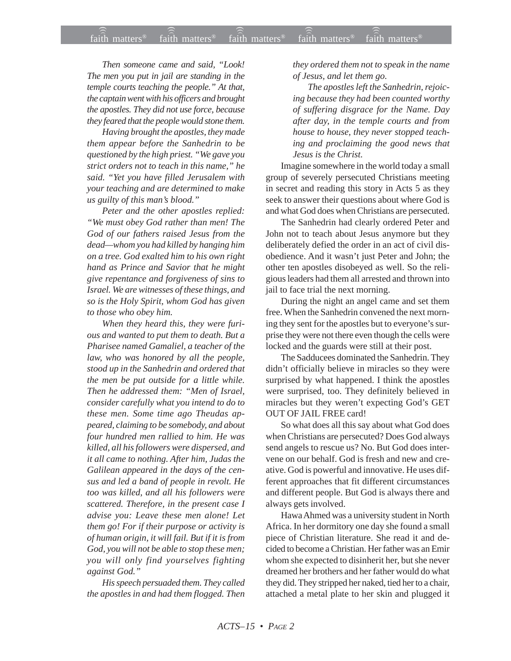*Then someone came and said, "Look! The men you put in jail are standing in the temple courts teaching the people." At that, the captain went with his officers and brought the apostles. They did not use force, because they feared that the people would stone them.*

*Having brought the apostles, they made them appear before the Sanhedrin to be questioned by the high priest. "We gave you strict orders not to teach in this name," he said. "Yet you have filled Jerusalem with your teaching and are determined to make us guilty of this man's blood."*

*Peter and the other apostles replied: "We must obey God rather than men! The God of our fathers raised Jesus from the dead—whom you had killed by hanging him on a tree. God exalted him to his own right hand as Prince and Savior that he might give repentance and forgiveness of sins to Israel. We are witnesses of these things, and so is the Holy Spirit, whom God has given to those who obey him.*

*When they heard this, they were furious and wanted to put them to death. But a Pharisee named Gamaliel, a teacher of the law, who was honored by all the people, stood up in the Sanhedrin and ordered that the men be put outside for a little while. Then he addressed them: "Men of Israel, consider carefully what you intend to do to these men. Some time ago Theudas appeared, claiming to be somebody, and about four hundred men rallied to him. He was killed, all his followers were dispersed, and it all came to nothing. After him, Judas the Galilean appeared in the days of the census and led a band of people in revolt. He too was killed, and all his followers were scattered. Therefore, in the present case I advise you: Leave these men alone! Let them go! For if their purpose or activity is of human origin, it will fail. But if it is from God, you will not be able to stop these men; you will only find yourselves fighting against God."*

*His speech persuaded them. They called the apostles in and had them flogged. Then* *they ordered them not to speak in the name of Jesus, and let them go.*

*The apostles left the Sanhedrin, rejoicing because they had been counted worthy of suffering disgrace for the Name. Day after day, in the temple courts and from house to house, they never stopped teaching and proclaiming the good news that Jesus is the Christ.*

Imagine somewhere in the world today a small group of severely persecuted Christians meeting in secret and reading this story in Acts 5 as they seek to answer their questions about where God is and what God does when Christians are persecuted.

The Sanhedrin had clearly ordered Peter and John not to teach about Jesus anymore but they deliberately defied the order in an act of civil disobedience. And it wasn't just Peter and John; the other ten apostles disobeyed as well. So the religious leaders had them all arrested and thrown into jail to face trial the next morning.

During the night an angel came and set them free. When the Sanhedrin convened the next morning they sent for the apostles but to everyone's surprise they were not there even though the cells were locked and the guards were still at their post.

The Sadducees dominated the Sanhedrin. They didn't officially believe in miracles so they were surprised by what happened. I think the apostles were surprised, too. They definitely believed in miracles but they weren't expecting God's GET OUT OF JAIL FREE card!

So what does all this say about what God does when Christians are persecuted? Does God always send angels to rescue us? No. But God does intervene on our behalf. God is fresh and new and creative. God is powerful and innovative. He uses different approaches that fit different circumstances and different people. But God is always there and always gets involved.

Hawa Ahmed was a university student in North Africa. In her dormitory one day she found a small piece of Christian literature. She read it and decided to become a Christian. Her father was an Emir whom she expected to disinherit her, but she never dreamed her brothers and her father would do what they did. They stripped her naked, tied her to a chair, attached a metal plate to her skin and plugged it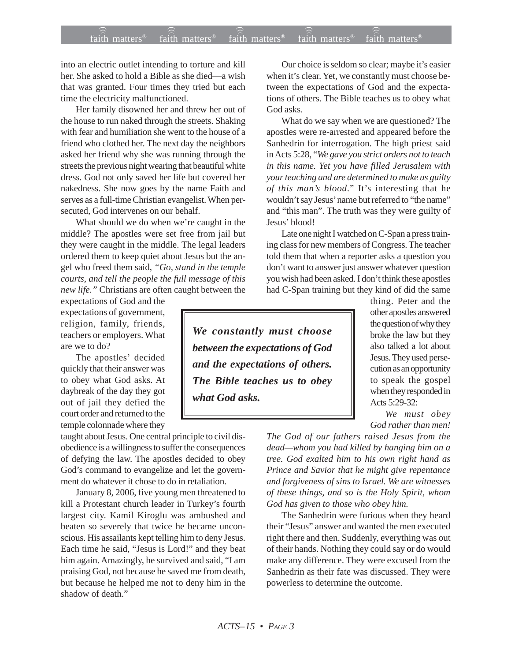into an electric outlet intending to torture and kill her. She asked to hold a Bible as she died—a wish that was granted. Four times they tried but each time the electricity malfunctioned.

Her family disowned her and threw her out of the house to run naked through the streets. Shaking with fear and humiliation she went to the house of a friend who clothed her. The next day the neighbors asked her friend why she was running through the streets the previous night wearing that beautiful white dress. God not only saved her life but covered her nakedness. She now goes by the name Faith and serves as a full-time Christian evangelist. When persecuted, God intervenes on our behalf.

What should we do when we're caught in the middle? The apostles were set free from jail but they were caught in the middle. The legal leaders ordered them to keep quiet about Jesus but the angel who freed them said, *"Go, stand in the temple courts, and tell the people the full message of this new life."* Christians are often caught between the

expectations of God and the expectations of government, religion, family, friends, teachers or employers. What are we to do?

The apostles' decided quickly that their answer was to obey what God asks. At daybreak of the day they got out of jail they defied the court order and returned to the temple colonnade where they

taught about Jesus. One central principle to civil disobedience is a willingness to suffer the consequences of defying the law. The apostles decided to obey God's command to evangelize and let the government do whatever it chose to do in retaliation.

January 8, 2006, five young men threatened to kill a Protestant church leader in Turkey's fourth largest city. Kamil Kiroglu was ambushed and beaten so severely that twice he became unconscious. His assailants kept telling him to deny Jesus. Each time he said, "Jesus is Lord!" and they beat him again. Amazingly, he survived and said, "I am praising God, not because he saved me from death, but because he helped me not to deny him in the shadow of death."

Our choice is seldom so clear; maybe it's easier when it's clear. Yet, we constantly must choose between the expectations of God and the expectations of others. The Bible teaches us to obey what God asks.

What do we say when we are questioned? The apostles were re-arrested and appeared before the Sanhedrin for interrogation. The high priest said in Acts 5:28, "*We gave you strict orders not to teach in this name. Yet you have filled Jerusalem with your teaching and are determined to make us guilty of this man's blood*." It's interesting that he wouldn't say Jesus' name but referred to "the name" and "this man". The truth was they were guilty of Jesus' blood!

Late one night I watched on C-Span a press training class for new members of Congress. The teacher told them that when a reporter asks a question you don't want to answer just answer whatever question you wish had been asked. I don't think these apostles had C-Span training but they kind of did the same

*We constantly must choose between the expectations of God and the expectations of others. The Bible teaches us to obey what God asks.*

thing. Peter and the other apostles answered the question of why they broke the law but they also talked a lot about Jesus. They used persecution as an opportunity to speak the gospel when they responded in Acts 5:29-32:

*We must obey God rather than men!*

*The God of our fathers raised Jesus from the dead—whom you had killed by hanging him on a tree. God exalted him to his own right hand as Prince and Savior that he might give repentance and forgiveness of sins to Israel. We are witnesses of these things, and so is the Holy Spirit, whom God has given to those who obey him.*

The Sanhedrin were furious when they heard their "Jesus" answer and wanted the men executed right there and then. Suddenly, everything was out of their hands. Nothing they could say or do would make any difference. They were excused from the Sanhedrin as their fate was discussed. They were powerless to determine the outcome.